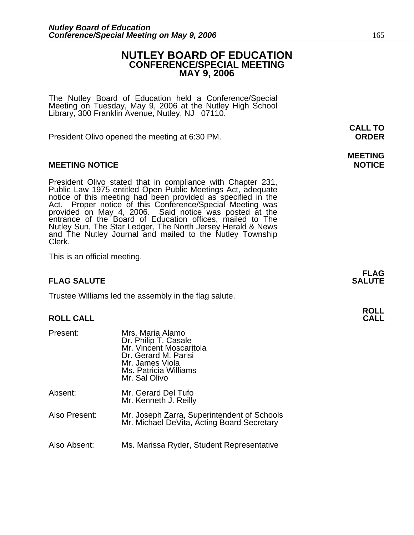#### **NUTLEY BOARD OF EDUCATION CONFERENCE/SPECIAL MEETING MAY 9, 2006**

The Nutley Board of Education held a Conference/Special Meeting on Tuesday, May 9, 2006 at the Nutley High School Library, 300 Franklin Avenue, Nutley, NJ 07110.

President Olivo opened the meeting at 6:30 PM. **ORDER**

#### **MEETING NOTICE NOTICE REPORTS AND ALCOHOL**

President Olivo stated that in compliance with Chapter 231, Public Law 1975 entitled Open Public Meetings Act, adequate notice of this meeting had been provided as specified in the Act. Proper notice of this Conference/Spe entrance of the Board of Education offices, mailed to The Nutley Sun, The Star Ledger, The North Jersey Herald & News and The Nutley Journal and mailed to the Nutley Township Clerk.

This is an official meeting.

#### **FLAG SALUTE SALUTE SALUTE**

Trustee Williams led the assembly in the flag salute.

### **ROLL ROLL CALL CALL**

| Present:      | Mrs. Maria Alamo<br>Dr. Philip T. Casale<br>Mr. Vincent Moscaritola<br>Dr. Gerard M. Parisi<br>Mr. James Viola<br>Ms. Patricia Williams<br>Mr. Sal Olivo |
|---------------|----------------------------------------------------------------------------------------------------------------------------------------------------------|
| Absent:       | Mr. Gerard Del Tufo<br>Mr. Kenneth J. Reilly                                                                                                             |
| Also Present: | Mr. Joseph Zarra, Superintendent of Schools<br>Mr. Michael DeVita, Acting Board Secretary                                                                |
| Also Absent:  | Ms. Marissa Ryder, Student Representative                                                                                                                |

**CALL TO** 

# **MEETING**

**FLAG**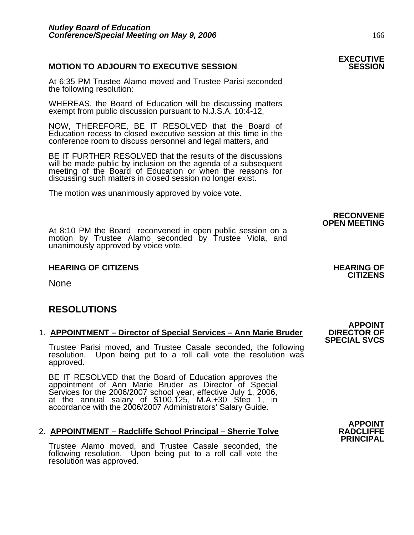#### **MOTION TO ADJOURN TO EXECUTIVE SESSION**

At 6:35 PM Trustee Alamo moved and Trustee Parisi seconded the following resolution:

WHEREAS, the Board of Education will be discussing matters exempt from public discussion pursuant to N.J.S.A. 10:4-12,

NOW, THEREFORE, BE IT RESOLVED that the Board of Education recess to closed executive session at this time in the conference room to discuss personnel and legal matters, and

BE IT FURTHER RESOLVED that the results of the discussions will be made public by inclusion on the agenda of a subsequent meeting of the Board of Education or when the reasons for discussing such matters in closed session no longer exist.

The motion was unanimously approved by voice vote.

At 8:10 PM the Board reconvened in open public session on a motion by Trustee Alamo seconded by Trustee Viola, and unanimously approved by voice vote.

#### **HEARING OF CITIZENS HEARING OF CITIZENS**

None

### **RESOLUTIONS**

#### 1. **APPOINTMENT – Director of Special Services – Ann Marie Bruder**

Trustee Parisi moved, and Trustee Casale seconded, the following resolution. Upon being put to a roll call vote the resolution was approved.

BE IT RESOLVED that the Board of Education approves the<br>appointment of Ann Marie Bruder as Director of Special Services for the 2006/2007 school year, effective July 1, 2006, at the annual salary of \$100,125, M.A.+30 Step 1, in<br>accordance with the 2006/2007 Administrators' Salary Guide.

#### 2. **APPOINTMENT – Radcliffe School Principal – Sherrie Tolve**

Trustee Alamo moved, and Trustee Casale seconded, the following resolution. Upon being put to a roll call vote the resolution was approved.

**RECONVENE OPEN MEETING** 

## **CITIZENS**

**APPOINT<br>DIRECTOR OF SPECIAL SVCS** 

## **EXECUTIVE**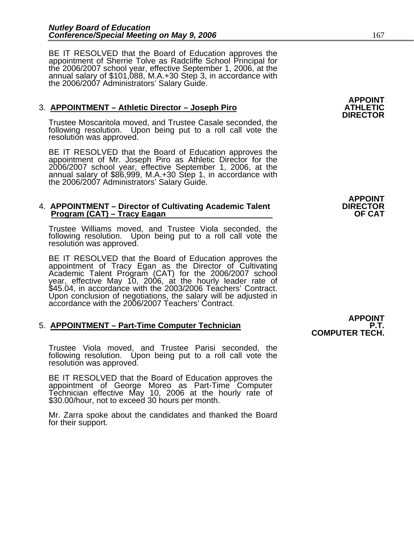BE IT RESOLVED that the Board of Education approves the appointment of Sherrie Tolve as Radcliffe School Principal for the 2006/2007 school year, effective September 1, 2006, at the annual salary of \$101,088, M.A.+30 Step

#### **3. APPOINTMENT – Athletic Director – Joseph Piro**

Trustee Moscaritola moved, and Trustee Casale seconded, the following resolution. Upon being put to a roll call vote the resolution was approved.

BE IT RESOLVED that the Board of Education approves the appointment of Mr. Joseph Piro as Athletic Director for the 2006/2007 school year, effective September 1, 2006, at the annual salary of \$86,999, M.A.+30 Step 1, in accordance with the 2006/2007 Administrators' Salary Guide.

#### 4. APPOINTMENT – Director of Cultivating Academic Talent  **Program (CAT) – Tracy Eagan OF CAT 2018 19:40 COF CAT 20:40 COF CAT 20:40 COF CAT**

Trustee Williams moved, and Trustee Viola seconded, the following resolution. Upon being put to a roll call vote the resolution was approved.

BE IT RESOLVED that the Board of Education approves the<br>appointment of Tracy Egan as the Director of Cultivating<br>Academic Talent Program (CAT) for the 2006/2007 school<br>year, effective May 10, 2006, at the hourly leader rat Upon conclusion of negotiations, the salary will be adjusted in accordance with the 2006/2007 Teachers' Contract.

#### 5. **APPOINTMENT – Part-Time Computer Technician**

Trustee Viola moved, and Trustee Parisi seconded, the following resolution. Upon being put to a roll call vote the resolution was approved.

BE IT RESOLVED that the Board of Education approves the appointment of George Moreo as Part-Time Computer Technician effective May 10, 2006 at the hourly rate of \$30.00/hour, not to exceed 30 hours per month.

Mr. Zarra spoke about the candidates and thanked the Board for their support.

**APPOINT** 

**APPOINT COMPUTER TECH.**